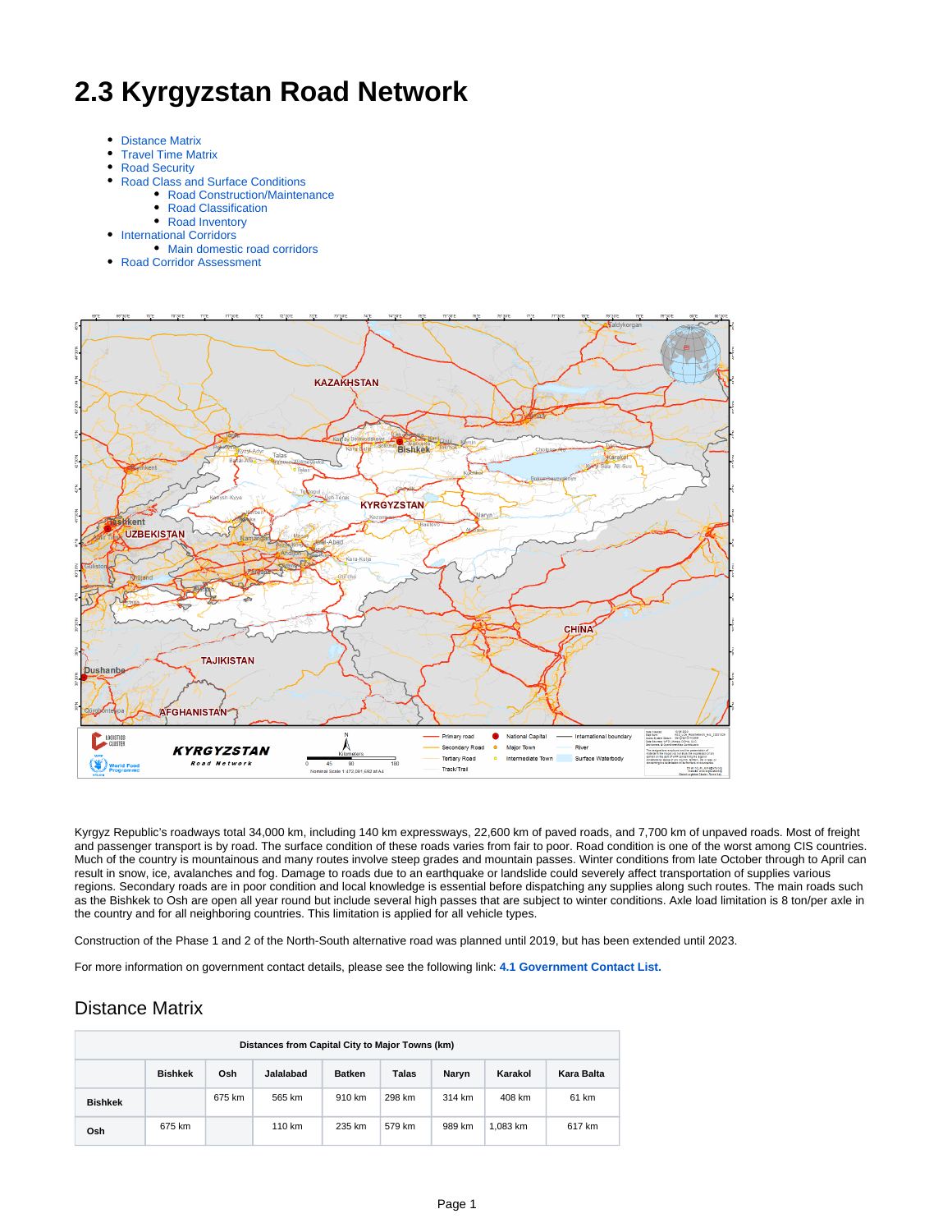# **2.3 Kyrgyzstan Road Network**

- [Distance Matrix](#page-0-0)
- [Travel Time Matrix](#page-1-0)
- $\bullet$ [Road Security](#page-1-1)  $\bullet$ 
	- [Road Class and Surface Conditions](#page-1-2)
		- [Road Construction/Maintenance](#page-1-3)
		- [Road Classification](#page-1-4)
- [Road Inventory](#page-2-0) **• [International Corridors](#page-2-1)** 
	- [Main domestic road corridors](#page-2-2)
- [Road Corridor Assessment](#page-2-3)



Kyrgyz Republic's roadways total 34,000 km, including 140 km expressways, 22,600 km of paved roads, and 7,700 km of unpaved roads. Most of freight and passenger transport is by road. The surface condition of these roads varies from fair to poor. Road condition is one of the worst among CIS countries. Much of the country is mountainous and many routes involve steep grades and mountain passes. Winter conditions from late October through to April can result in snow, ice, avalanches and fog. Damage to roads due to an earthquake or landslide could severely affect transportation of supplies various regions. Secondary roads are in poor condition and local knowledge is essential before dispatching any supplies along such routes. The main roads such as the Bishkek to Osh are open all year round but include several high passes that are subject to winter conditions. Axle load limitation is 8 ton/per axle in the country and for all neighboring countries. This limitation is applied for all vehicle types.

Construction of the Phase 1 and 2 of the North-South alternative road was planned until 2019, but has been extended until 2023.

For more information on government contact details, please see the following link: **[4.1 Government Contact List.](https://dlca.logcluster.org/display/DLCA/4.1+Kyrgyzstan+Government+Contact+List)**

## <span id="page-0-0"></span>Distance Matrix

| Distances from Capital City to Major Towns (km) |                                                                                                |        |        |        |        |        |          |        |  |  |
|-------------------------------------------------|------------------------------------------------------------------------------------------------|--------|--------|--------|--------|--------|----------|--------|--|--|
|                                                 | Osh<br>Jalalabad<br><b>Bishkek</b><br>Talas<br><b>Batken</b><br>Karakol<br>Naryn<br>Kara Balta |        |        |        |        |        |          |        |  |  |
| <b>Bishkek</b>                                  |                                                                                                | 675 km | 565 km | 910 km | 298 km | 314 km | 408 km   | 61 km  |  |  |
| Osh                                             | 675 km                                                                                         |        | 110 km | 235 km | 579 km | 989 km | 1.083 km | 617 km |  |  |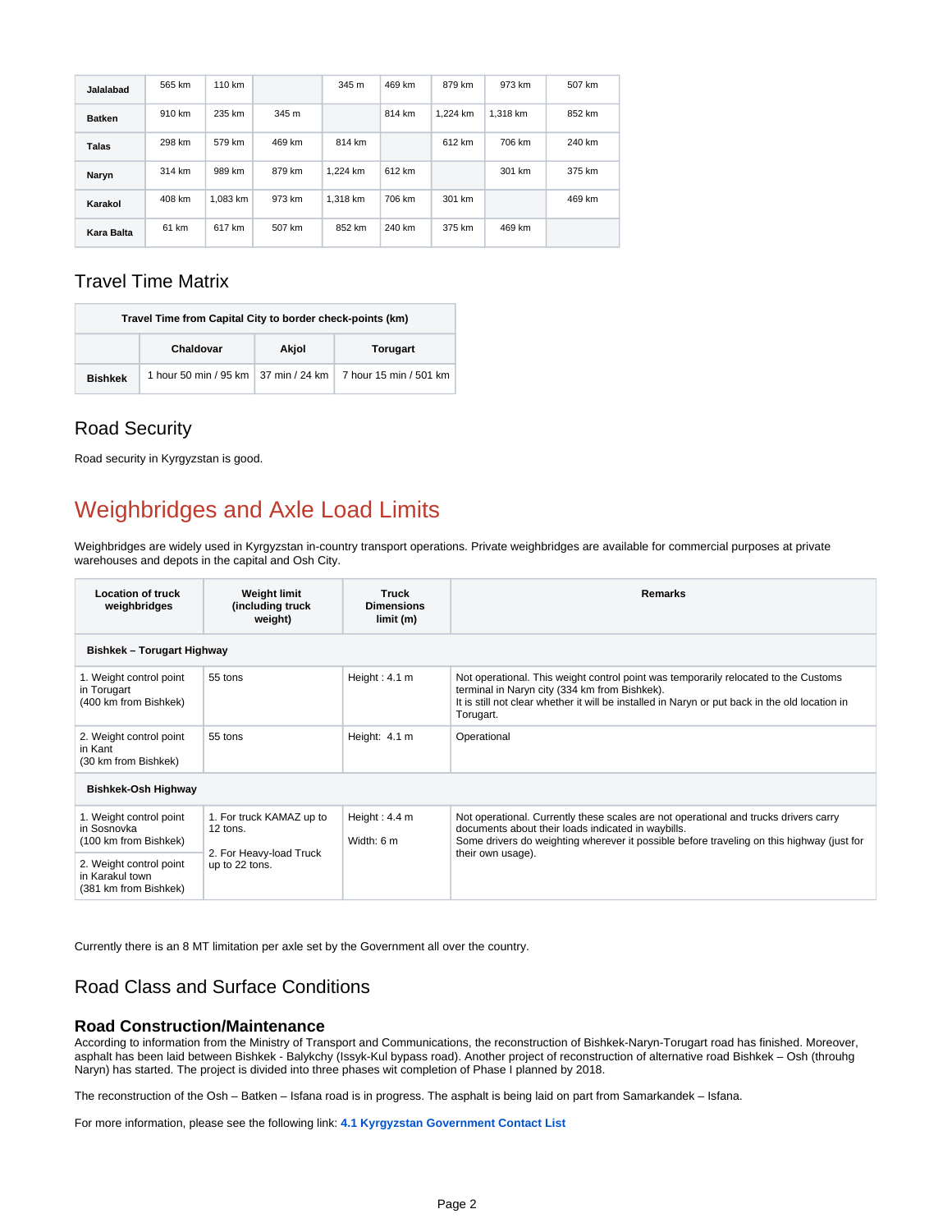| Jalalabad     | 565 km | 110 km   |        | 345m     | 469 km | 879 km   | 973 km   | 507 km |
|---------------|--------|----------|--------|----------|--------|----------|----------|--------|
| <b>Batken</b> | 910 km | 235 km   | 345m   |          | 814 km | 1.224 km | 1.318 km | 852 km |
| Talas         | 298 km | 579 km   | 469 km | 814 km   |        | 612 km   | 706 km   | 240 km |
| Naryn         | 314 km | 989 km   | 879 km | 1.224 km | 612 km |          | 301 km   | 375 km |
| Karakol       | 408 km | 1,083 km | 973 km | 1.318 km | 706 km | 301 km   |          | 469 km |
| Kara Balta    | 61 km  | 617 km   | 507 km | 852 km   | 240 km | 375 km   | 469 km   |        |

## <span id="page-1-0"></span>Travel Time Matrix

| Travel Time from Capital City to border check-points (km) |           |       |                                                                 |  |  |  |
|-----------------------------------------------------------|-----------|-------|-----------------------------------------------------------------|--|--|--|
|                                                           | Chaldovar | Akjol | Torugart                                                        |  |  |  |
| <b>Bishkek</b>                                            |           |       | 1 hour 50 min / 95 km   37 min / 24 km   7 hour 15 min / 501 km |  |  |  |

# <span id="page-1-1"></span>Road Security

Road security in Kyrgyzstan is good.

# Weighbridges and Axle Load Limits

Weighbridges are widely used in Kyrgyzstan in-country transport operations. Private weighbridges are available for commercial purposes at private warehouses and depots in the capital and Osh City.

| <b>Location of truck</b><br>weighbridges                            | <b>Weight limit</b><br>(including truck)<br>weight) | <b>Truck</b><br><b>Dimensions</b><br>limit (m) | <b>Remarks</b>                                                                                                                                                                                                                                      |  |  |  |  |
|---------------------------------------------------------------------|-----------------------------------------------------|------------------------------------------------|-----------------------------------------------------------------------------------------------------------------------------------------------------------------------------------------------------------------------------------------------------|--|--|--|--|
| <b>Bishkek - Torugart Highway</b>                                   |                                                     |                                                |                                                                                                                                                                                                                                                     |  |  |  |  |
| 1. Weight control point<br>in Torugart<br>(400 km from Bishkek)     | 55 tons                                             | Height: $4.1 m$                                | Not operational. This weight control point was temporarily relocated to the Customs<br>terminal in Naryn city (334 km from Bishkek).<br>It is still not clear whether it will be installed in Naryn or put back in the old location in<br>Torugart. |  |  |  |  |
| 2. Weight control point<br>in Kant<br>(30 km from Bishkek)          | 55 tons                                             | Height: 4.1 m                                  | Operational                                                                                                                                                                                                                                         |  |  |  |  |
| <b>Bishkek-Osh Highway</b>                                          |                                                     |                                                |                                                                                                                                                                                                                                                     |  |  |  |  |
| 1. Weight control point<br>in Sosnovka<br>(100 km from Bishkek)     | 1. For truck KAMAZ up to<br>12 tons.                | Height: 4.4 m<br>Width: 6 m                    | Not operational. Currently these scales are not operational and trucks drivers carry<br>documents about their loads indicated in waybills.<br>Some drivers do weighting wherever it possible before traveling on this highway (just for             |  |  |  |  |
| 2. Weight control point<br>in Karakul town<br>(381 km from Bishkek) | 2. For Heavy-load Truck<br>up to 22 tons.           |                                                | their own usage).                                                                                                                                                                                                                                   |  |  |  |  |

Currently there is an 8 MT limitation per axle set by the Government all over the country.

## <span id="page-1-2"></span>Road Class and Surface Conditions

### <span id="page-1-3"></span>**Road Construction/Maintenance**

According to information from the Ministry of Transport and Communications, the reconstruction of Bishkek-Naryn-Torugart road has finished. Moreover, asphalt has been laid between Bishkek - Balykchy (Issyk-Kul bypass road). Another project of reconstruction of alternative road Bishkek – Osh (throuhg Naryn) has started. The project is divided into three phases wit completion of Phase I planned by 2018.

The reconstruction of the Osh – Batken – Isfana road is in progress. The asphalt is being laid on part from Samarkandek – Isfana.

<span id="page-1-4"></span>For more information, please see the following link: **[4.1 Kyrgyzstan Government Contact List](https://dlca.logcluster.org/display/DLCA/4.1+Kyrgyzstan+Government+Contact+List)**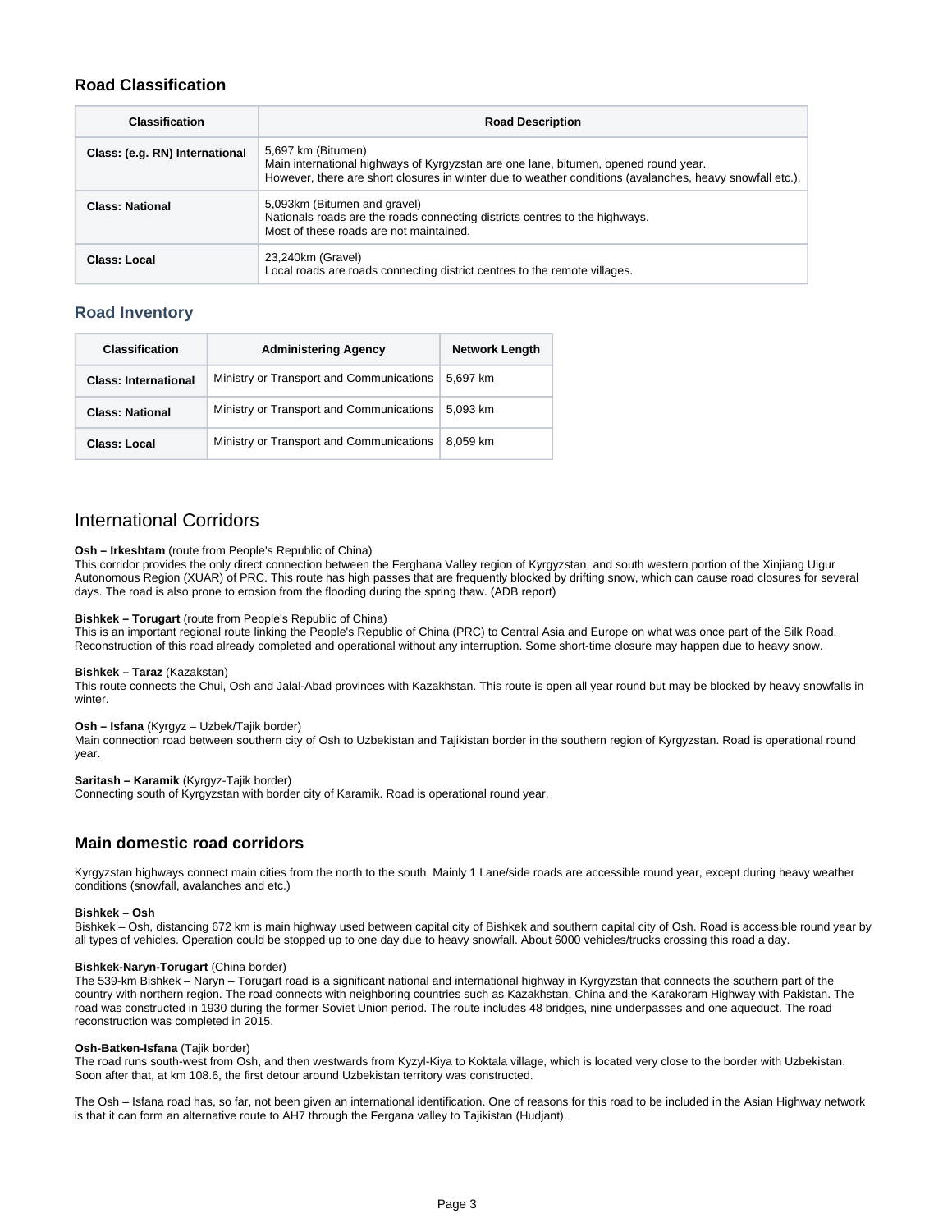## **Road Classification**

| <b>Classification</b>          | <b>Road Description</b>                                                                                                                                                                                               |
|--------------------------------|-----------------------------------------------------------------------------------------------------------------------------------------------------------------------------------------------------------------------|
| Class: (e.g. RN) International | 5,697 km (Bitumen)<br>Main international highways of Kyrgyzstan are one lane, bitumen, opened round year.<br>However, there are short closures in winter due to weather conditions (avalanches, heavy snowfall etc.). |
| <b>Class: National</b>         | 5,093km (Bitumen and gravel)<br>Nationals roads are the roads connecting districts centres to the highways.<br>Most of these roads are not maintained.                                                                |
| Class: Local                   | 23,240km (Gravel)<br>Local roads are roads connecting district centres to the remote villages.                                                                                                                        |

## <span id="page-2-0"></span>**Road Inventory**

| <b>Classification</b>       | <b>Administering Agency</b>              | <b>Network Length</b> |  |
|-----------------------------|------------------------------------------|-----------------------|--|
| <b>Class: International</b> | Ministry or Transport and Communications | 5.697 km              |  |
| <b>Class: National</b>      | Ministry or Transport and Communications | 5.093 km              |  |
| Class: Local                | Ministry or Transport and Communications | 8.059 km              |  |

## <span id="page-2-1"></span>International Corridors

#### **Osh – Irkeshtam** (route from People's Republic of China)

This corridor provides the only direct connection between the Ferghana Valley region of Kyrgyzstan, and south western portion of the Xinjiang Uigur Autonomous Region (XUAR) of PRC. This route has high passes that are frequently blocked by drifting snow, which can cause road closures for several days. The road is also prone to erosion from the flooding during the spring thaw. (ADB report)

#### **Bishkek – Torugart** (route from People's Republic of China)

This is an important regional route linking the People's Republic of China (PRC) to Central Asia and Europe on what was once part of the Silk Road. Reconstruction of this road already completed and operational without any interruption. Some short-time closure may happen due to heavy snow.

#### **Bishkek – Taraz** (Kazakstan)

This route connects the Chui, Osh and Jalal-Abad provinces with Kazakhstan. This route is open all year round but may be blocked by heavy snowfalls in winter.

#### **Osh – Isfana** (Kyrgyz – Uzbek/Tajik border)

Main connection road between southern city of Osh to Uzbekistan and Tajikistan border in the southern region of Kyrgyzstan. Road is operational round year.

#### **Saritash – Karamik** (Kyrgyz-Tajik border)

Connecting south of Kyrgyzstan with border city of Karamik. Road is operational round year.

### <span id="page-2-2"></span>**Main domestic road corridors**

Kyrgyzstan highways connect main cities from the north to the south. Mainly 1 Lane/side roads are accessible round year, except during heavy weather conditions (snowfall, avalanches and etc.)

#### **Bishkek – Osh**

Bishkek – Osh, distancing 672 km is main highway used between capital city of Bishkek and southern capital city of Osh. Road is accessible round year by all types of vehicles. Operation could be stopped up to one day due to heavy snowfall. About 6000 vehicles/trucks crossing this road a day.

#### **Bishkek-Naryn-Torugart** (China border)

The 539-km Bishkek – Naryn – Torugart road is a significant national and international highway in Kyrgyzstan that connects the southern part of the country with northern region. The road connects with neighboring countries such as Kazakhstan, China and the Karakoram Highway with Pakistan. The road was constructed in 1930 during the former Soviet Union period. The route includes 48 bridges, nine underpasses and one aqueduct. The road reconstruction was completed in 2015.

#### **Osh-Batken-Isfana** (Tajik border)

The road runs south-west from Osh, and then westwards from Kyzyl-Kiya to Koktala village, which is located very close to the border with Uzbekistan. Soon after that, at km 108.6, the first detour around Uzbekistan territory was constructed.

<span id="page-2-3"></span>The Osh – Isfana road has, so far, not been given an international identification. One of reasons for this road to be included in the Asian Highway network is that it can form an alternative route to AH7 through the Fergana valley to Tajikistan (Hudjant).